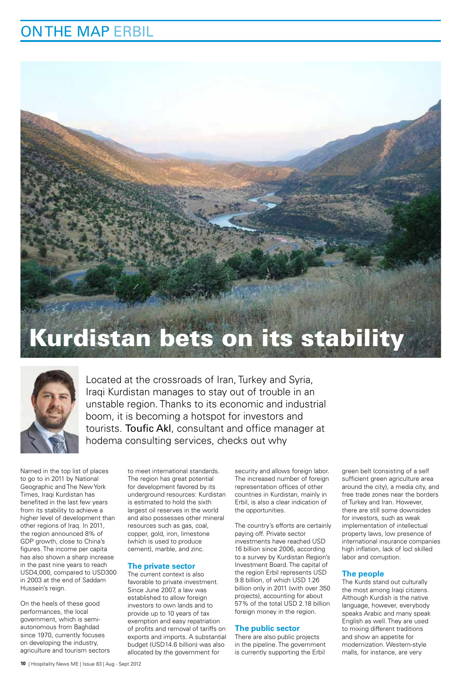# ON THE MAP ERBIL

# Kurdistan bets on its stability



Located at the crossroads of Iran, Turkey and Syria, Iraqi Kurdistan manages to stay out of trouble in an unstable region. Thanks to its economic and industrial boom, it is becoming a hotspot for investors and tourists. Toufic Akl, consultant and office manager at hodema consulting services, checks out why

Named in the top list of places to go to in 2011 by National Geographic and The New York Times, Iraqi Kurdistan has benefited in the last few years from its stability to achieve a higher level of development than other regions of Iraq. In 2011, the region announced 8% of GDP growth, close to China's figures. The income per capita has also shown a sharp increase in the past nine years to reach USD4,000, compared to USD300 in 2003 at the end of Saddam Hussein's reign.

On the heels of these good performances, the local government, which is semiautonomous from Baghdad since 1970, currently focuses on developing the industry, agriculture and tourism sectors to meet international standards. The region has great potential for development favored by its underground resources: Kurdistan is estimated to hold the sixth largest oil reserves in the world and also possesses other mineral resources such as gas, coal. copper, gold, iron, limestone (which is used to produce cement), marble, and zinc.

### **The private sector**

The current context is also favorable to private investment. Since June 2007, a law was established to allow foreign investors to own lands and to provide up to 10 years of tax exemption and easy repatriation of profits and removal of tariffs on exports and imports. A substantial budget (USD14.6 billion) was also allocated by the government for

security and allows foreign labor. The increased number of foreign representation offices of other countries in Kurdistan, mainly in Erbil, is also a clear indication of the opportunities.

The country's efforts are certainly paying off. Private sector investments have reached USD 16 billion since 2006, according to a survey by Kurdistan Region's Investment Board. The capital of the region Erbil represents USD 9.8 billion, of which USD 1.26 billion only in 2011 (with over 350 projects), accounting for about 57% of the total USD 2.18 billion foreign money in the region.

### **The public sector**

There are also public projects in the pipeline. The government is currently supporting the Erbil

green belt (consisting of a self sufficient green agriculture area around the city), a media city, and free trade zones near the borders of Turkey and Iran. However, there are still some downsides for investors, such as weak implementation of intellectual property laws, low presence of international insurance companies high inflation, lack of locl skilled labor and corruption.

### **The people**

The Kurds stand out culturally the most among Iraqi citizens. Although Kurdish is the native language, however, everybody speaks Arabic and many speak English as well. They are used to mixing different traditions and show an appetite for modernization. Western-style malls, for instance, are very